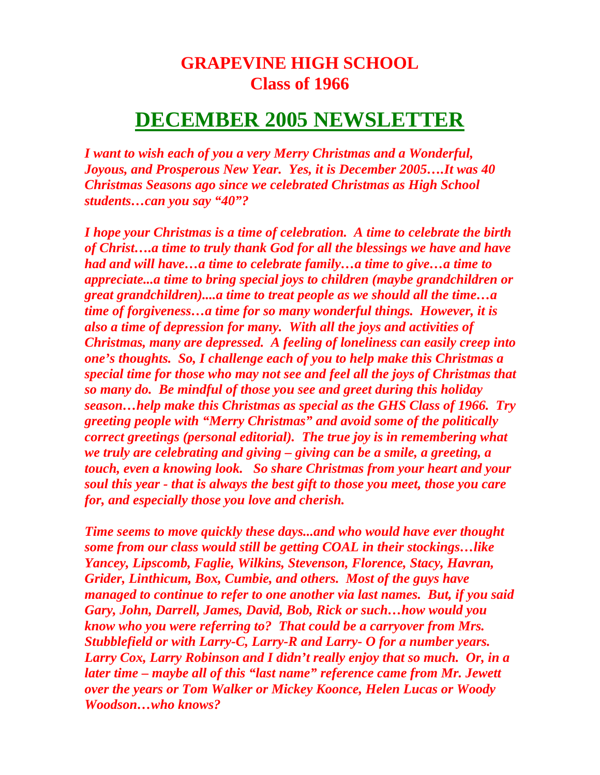## **GRAPEVINE HIGH SCHOOL Class of 1966**

## **DECEMBER 2005 NEWSLETTER**

*I want to wish each of you a very Merry Christmas and a Wonderful, Joyous, and Prosperous New Year. Yes, it is December 2005….It was 40 Christmas Seasons ago since we celebrated Christmas as High School students…can you say "40"?* 

*I hope your Christmas is a time of celebration. A time to celebrate the birth of Christ….a time to truly thank God for all the blessings we have and have had and will have…a time to celebrate family…a time to give…a time to appreciate...a time to bring special joys to children (maybe grandchildren or great grandchildren)....a time to treat people as we should all the time…a time of forgiveness…a time for so many wonderful things. However, it is also a time of depression for many. With all the joys and activities of Christmas, many are depressed. A feeling of loneliness can easily creep into one's thoughts. So, I challenge each of you to help make this Christmas a special time for those who may not see and feel all the joys of Christmas that so many do. Be mindful of those you see and greet during this holiday season…help make this Christmas as special as the GHS Class of 1966. Try greeting people with "Merry Christmas" and avoid some of the politically correct greetings (personal editorial). The true joy is in remembering what we truly are celebrating and giving – giving can be a smile, a greeting, a touch, even a knowing look. So share Christmas from your heart and your soul this year - that is always the best gift to those you meet, those you care for, and especially those you love and cherish.* 

*Time seems to move quickly these days...and who would have ever thought some from our class would still be getting COAL in their stockings…like Yancey, Lipscomb, Faglie, Wilkins, Stevenson, Florence, Stacy, Havran, Grider, Linthicum, Box, Cumbie, and others. Most of the guys have managed to continue to refer to one another via last names. But, if you said Gary, John, Darrell, James, David, Bob, Rick or such…how would you know who you were referring to? That could be a carryover from Mrs. Stubblefield or with Larry-C, Larry-R and Larry- O for a number years. Larry Cox, Larry Robinson and I didn't really enjoy that so much. Or, in a later time – maybe all of this "last name" reference came from Mr. Jewett over the years or Tom Walker or Mickey Koonce, Helen Lucas or Woody Woodson…who knows?*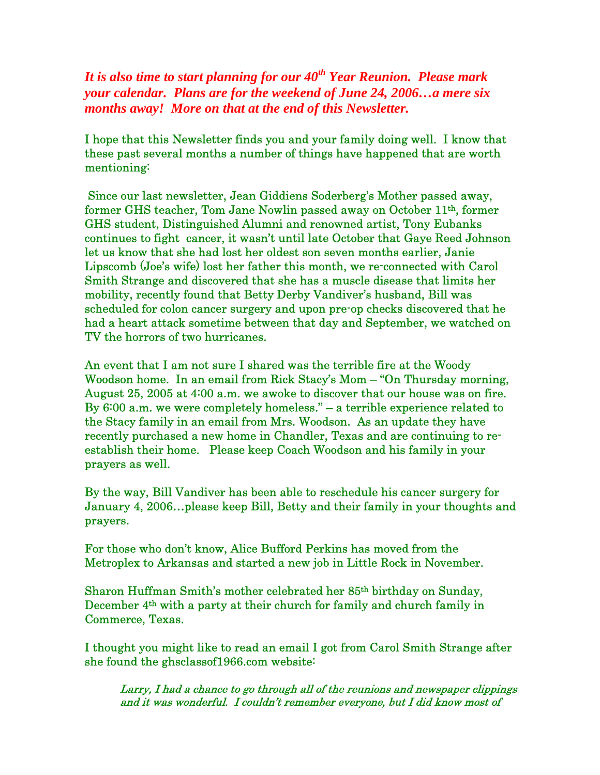*It is also time to start planning for our 40th Year Reunion. Please mark your calendar. Plans are for the weekend of June 24, 2006…a mere six months away! More on that at the end of this Newsletter.* 

I hope that this Newsletter finds you and your family doing well. I know that these past several months a number of things have happened that are worth mentioning:

 Since our last newsletter, Jean Giddiens Soderberg's Mother passed away, former GHS teacher, Tom Jane Nowlin passed away on October 11th, former GHS student, Distinguished Alumni and renowned artist, Tony Eubanks continues to fight cancer, it wasn't until late October that Gaye Reed Johnson let us know that she had lost her oldest son seven months earlier, Janie Lipscomb (Joe's wife) lost her father this month, we re-connected with Carol Smith Strange and discovered that she has a muscle disease that limits her mobility, recently found that Betty Derby Vandiver's husband, Bill was scheduled for colon cancer surgery and upon pre-op checks discovered that he had a heart attack sometime between that day and September, we watched on TV the horrors of two hurricanes.

An event that I am not sure I shared was the terrible fire at the Woody Woodson home. In an email from Rick Stacy's Mom – "On Thursday morning, August 25, 2005 at 4:00 a.m. we awoke to discover that our house was on fire. By 6:00 a.m. we were completely homeless." – a terrible experience related to the Stacy family in an email from Mrs. Woodson. As an update they have recently purchased a new home in Chandler, Texas and are continuing to reestablish their home. Please keep Coach Woodson and his family in your prayers as well.

By the way, Bill Vandiver has been able to reschedule his cancer surgery for January 4, 2006…please keep Bill, Betty and their family in your thoughts and prayers.

For those who don't know, Alice Bufford Perkins has moved from the Metroplex to Arkansas and started a new job in Little Rock in November.

Sharon Huffman Smith's mother celebrated her 85th birthday on Sunday, December  $4<sup>th</sup>$  with a party at their church for family and church family in Commerce, Texas.

I thought you might like to read an email I got from Carol Smith Strange after she found the ghsclassof1966.com website:

Larry, I had a chance to go through all of the reunions and newspaper clippings and it was wonderful. I couldn't remember everyone, but I did know most of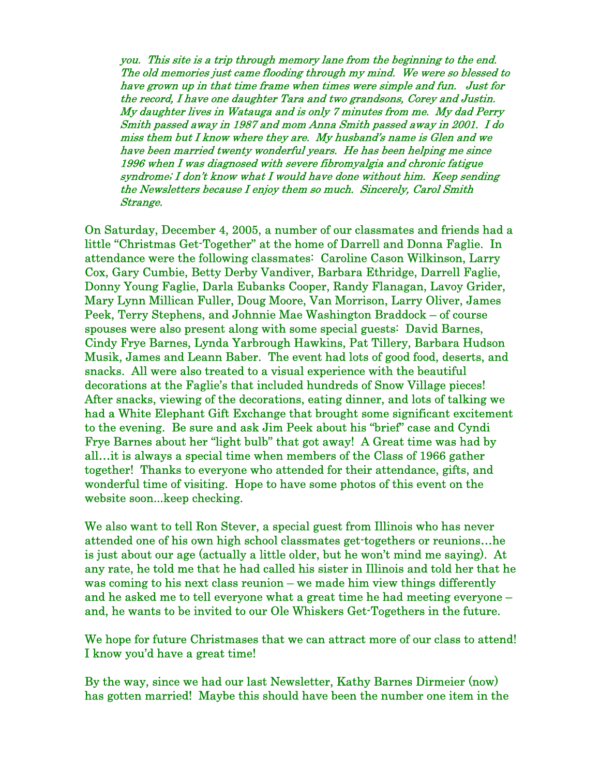you. This site is a trip through memory lane from the beginning to the end. The old memories just came flooding through my mind. We were so blessed to have grown up in that time frame when times were simple and fun. Just for the record, I have one daughter Tara and two grandsons, Corey and Justin. My daughter lives in Watauga and is only 7 minutes from me. My dad Perry Smith passed away in 1987 and mom Anna Smith passed away in 2001. I do miss them but I know where they are. My husband's name is Glen and we have been married twenty wonderful years. He has been helping me since 1996 when I was diagnosed with severe fibromyalgia and chronic fatigue syndrome; I don't know what I would have done without him. Keep sending the Newsletters because I enjoy them so much. Sincerely, Carol Smith Strange.

On Saturday, December 4, 2005, a number of our classmates and friends had a little "Christmas Get-Together" at the home of Darrell and Donna Faglie. In attendance were the following classmates: Caroline Cason Wilkinson, Larry Cox, Gary Cumbie, Betty Derby Vandiver, Barbara Ethridge, Darrell Faglie, Donny Young Faglie, Darla Eubanks Cooper, Randy Flanagan, Lavoy Grider, Mary Lynn Millican Fuller, Doug Moore, Van Morrison, Larry Oliver, James Peek, Terry Stephens, and Johnnie Mae Washington Braddock – of course spouses were also present along with some special guests: David Barnes, Cindy Frye Barnes, Lynda Yarbrough Hawkins, Pat Tillery, Barbara Hudson Musik, James and Leann Baber. The event had lots of good food, deserts, and snacks. All were also treated to a visual experience with the beautiful decorations at the Faglie's that included hundreds of Snow Village pieces! After snacks, viewing of the decorations, eating dinner, and lots of talking we had a White Elephant Gift Exchange that brought some significant excitement to the evening. Be sure and ask Jim Peek about his "brief" case and Cyndi Frye Barnes about her "light bulb" that got away! A Great time was had by all…it is always a special time when members of the Class of 1966 gather together! Thanks to everyone who attended for their attendance, gifts, and wonderful time of visiting. Hope to have some photos of this event on the website soon...keep checking.

We also want to tell Ron Stever, a special guest from Illinois who has never attended one of his own high school classmates get-togethers or reunions…he is just about our age (actually a little older, but he won't mind me saying). At any rate, he told me that he had called his sister in Illinois and told her that he was coming to his next class reunion – we made him view things differently and he asked me to tell everyone what a great time he had meeting everyone – and, he wants to be invited to our Ole Whiskers Get-Togethers in the future.

We hope for future Christmases that we can attract more of our class to attend! I know you'd have a great time!

By the way, since we had our last Newsletter, Kathy Barnes Dirmeier (now) has gotten married! Maybe this should have been the number one item in the